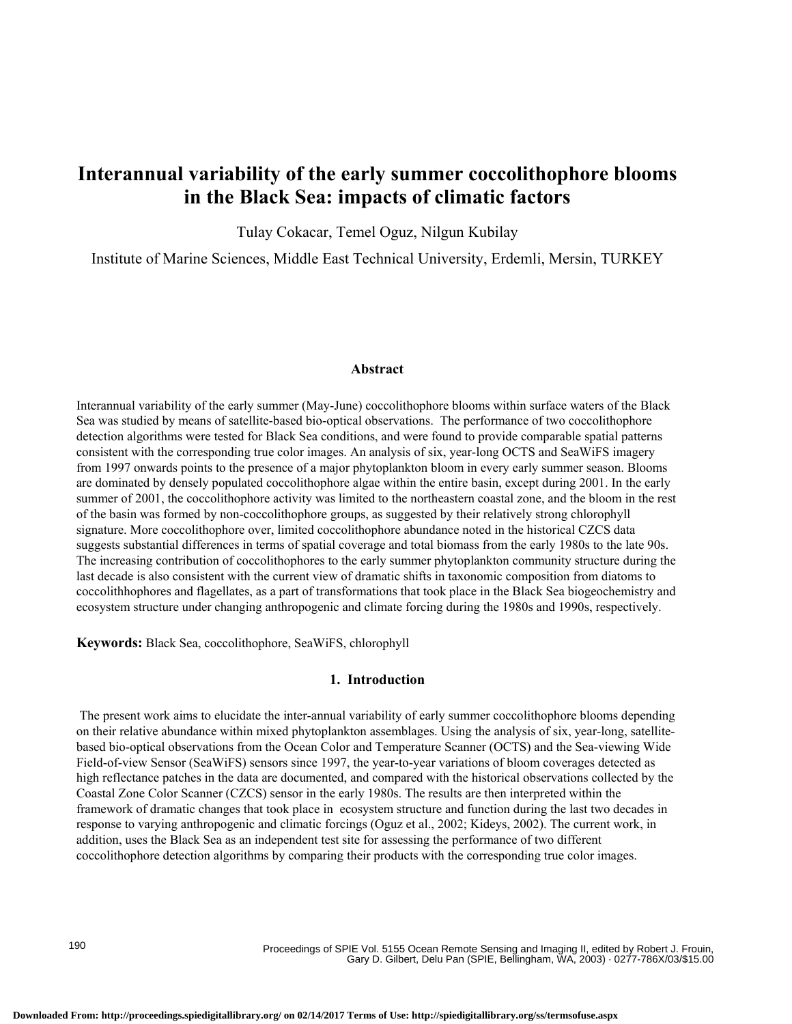# **Interannual variability of the early summer coccolithophore blooms in the Black Sea: impacts of climatic factors**

Tulay Cokacar, Temel Oguz, Nilgun Kubilay

Institute of Marine Sciences, Middle East Technical University, Erdemli, Mersin, TURKEY

### **Abstract**

Interannual variability of the early summer (May-June) coccolithophore blooms within surface waters of the Black Sea was studied by means of satellite-based bio-optical observations. The performance of two coccolithophore detection algorithms were tested for Black Sea conditions, and were found to provide comparable spatial patterns consistent with the corresponding true color images. An analysis of six, year-long OCTS and SeaWiFS imagery from 1997 onwards points to the presence of a major phytoplankton bloom in every early summer season. Blooms are dominated by densely populated coccolithophore algae within the entire basin, except during 2001. In the early summer of 2001, the coccolithophore activity was limited to the northeastern coastal zone, and the bloom in the rest of the basin was formed by non-coccolithophore groups, as suggested by their relatively strong chlorophyll signature. More coccolithophore over, limited coccolithophore abundance noted in the historical CZCS data suggests substantial differences in terms of spatial coverage and total biomass from the early 1980s to the late 90s. The increasing contribution of coccolithophores to the early summer phytoplankton community structure during the last decade is also consistent with the current view of dramatic shifts in taxonomic composition from diatoms to coccolithhophores and flagellates, as a part of transformations that took place in the Black Sea biogeochemistry and ecosystem structure under changing anthropogenic and climate forcing during the 1980s and 1990s, respectively.

**Keywords:** Black Sea, coccolithophore, SeaWiFS, chlorophyll

#### **1. Introduction**

 The present work aims to elucidate the inter-annual variability of early summer coccolithophore blooms depending on their relative abundance within mixed phytoplankton assemblages. Using the analysis of six, year-long, satellitebased bio-optical observations from the Ocean Color and Temperature Scanner (OCTS) and the Sea-viewing Wide Field-of-view Sensor (SeaWiFS) sensors since 1997, the year-to-year variations of bloom coverages detected as high reflectance patches in the data are documented, and compared with the historical observations collected by the Coastal Zone Color Scanner (CZCS) sensor in the early 1980s. The results are then interpreted within the framework of dramatic changes that took place in ecosystem structure and function during the last two decades in response to varying anthropogenic and climatic forcings (Oguz et al., 2002; Kideys, 2002). The current work, in addition, uses the Black Sea as an independent test site for assessing the performance of two different coccolithophore detection algorithms by comparing their products with the corresponding true color images.

Proceedings of SPIE Vol. 5155 Ocean Remote Sensing and Imaging II, edited by Robert J. Frouin, Gary D. Gilbert, Delu Pan (SPIE, Bellingham, WA, 2003) · 0277-786X/03/\$15.00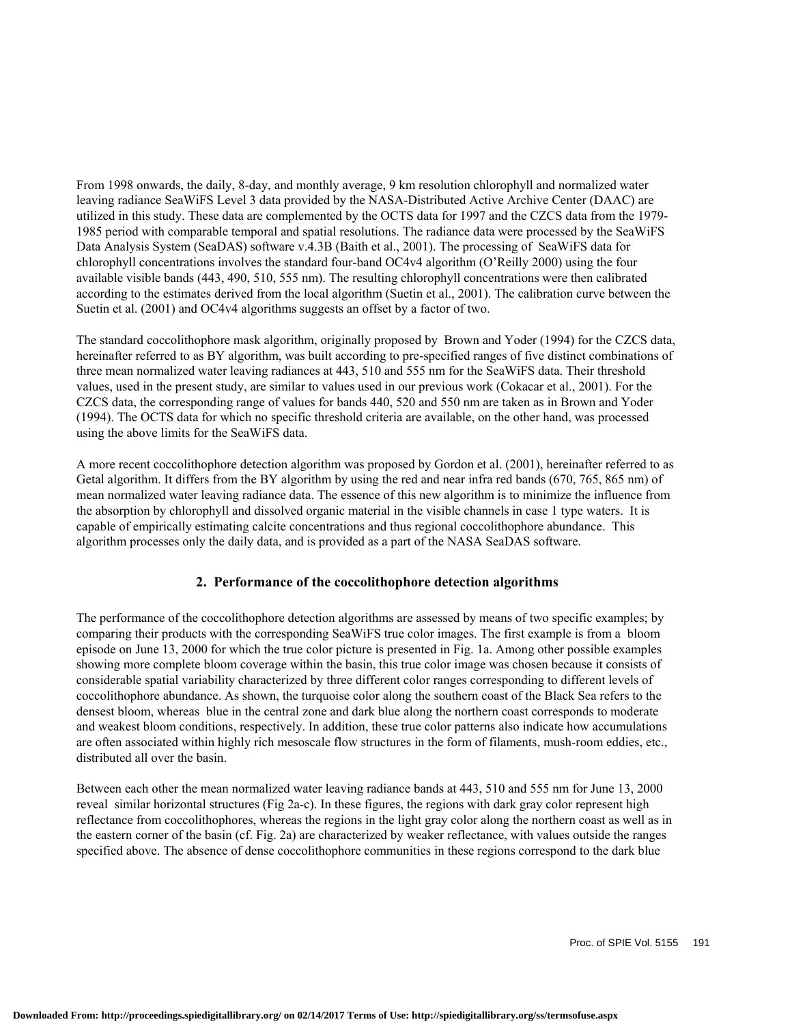From 1998 onwards, the daily, 8-day, and monthly average, 9 km resolution chlorophyll and normalized water leaving radiance SeaWiFS Level 3 data provided by the NASA-Distributed Active Archive Center (DAAC) are utilized in this study. These data are complemented by the OCTS data for 1997 and the CZCS data from the 1979- 1985 period with comparable temporal and spatial resolutions. The radiance data were processed by the SeaWiFS Data Analysis System (SeaDAS) software v.4.3B (Baith et al., 2001). The processing of SeaWiFS data for chlorophyll concentrations involves the standard four-band OC4v4 algorithm (O'Reilly 2000) using the four available visible bands (443, 490, 510, 555 nm). The resulting chlorophyll concentrations were then calibrated according to the estimates derived from the local algorithm (Suetin et al., 2001). The calibration curve between the Suetin et al. (2001) and OC4v4 algorithms suggests an offset by a factor of two.

The standard coccolithophore mask algorithm, originally proposed by Brown and Yoder (1994) for the CZCS data, hereinafter referred to as BY algorithm, was built according to pre-specified ranges of five distinct combinations of three mean normalized water leaving radiances at 443, 510 and 555 nm for the SeaWiFS data. Their threshold values, used in the present study, are similar to values used in our previous work (Cokacar et al., 2001). For the CZCS data, the corresponding range of values for bands 440, 520 and 550 nm are taken as in Brown and Yoder (1994). The OCTS data for which no specific threshold criteria are available, on the other hand, was processed using the above limits for the SeaWiFS data.

A more recent coccolithophore detection algorithm was proposed by Gordon et al. (2001), hereinafter referred to as Getal algorithm. It differs from the BY algorithm by using the red and near infra red bands (670, 765, 865 nm) of mean normalized water leaving radiance data. The essence of this new algorithm is to minimize the influence from the absorption by chlorophyll and dissolved organic material in the visible channels in case 1 type waters. It is capable of empirically estimating calcite concentrations and thus regional coccolithophore abundance. This algorithm processes only the daily data, and is provided as a part of the NASA SeaDAS software.

## **2. Performance of the coccolithophore detection algorithms**

The performance of the coccolithophore detection algorithms are assessed by means of two specific examples; by comparing their products with the corresponding SeaWiFS true color images. The first example is from a bloom episode on June 13, 2000 for which the true color picture is presented in Fig. 1a. Among other possible examples showing more complete bloom coverage within the basin, this true color image was chosen because it consists of considerable spatial variability characterized by three different color ranges corresponding to different levels of coccolithophore abundance. As shown, the turquoise color along the southern coast of the Black Sea refers to the densest bloom, whereas blue in the central zone and dark blue along the northern coast corresponds to moderate and weakest bloom conditions, respectively. In addition, these true color patterns also indicate how accumulations are often associated within highly rich mesoscale flow structures in the form of filaments, mush-room eddies, etc., distributed all over the basin.

Between each other the mean normalized water leaving radiance bands at 443, 510 and 555 nm for June 13, 2000 reveal similar horizontal structures (Fig 2a-c). In these figures, the regions with dark gray color represent high reflectance from coccolithophores, whereas the regions in the light gray color along the northern coast as well as in the eastern corner of the basin (cf. Fig. 2a) are characterized by weaker reflectance, with values outside the ranges specified above. The absence of dense coccolithophore communities in these regions correspond to the dark blue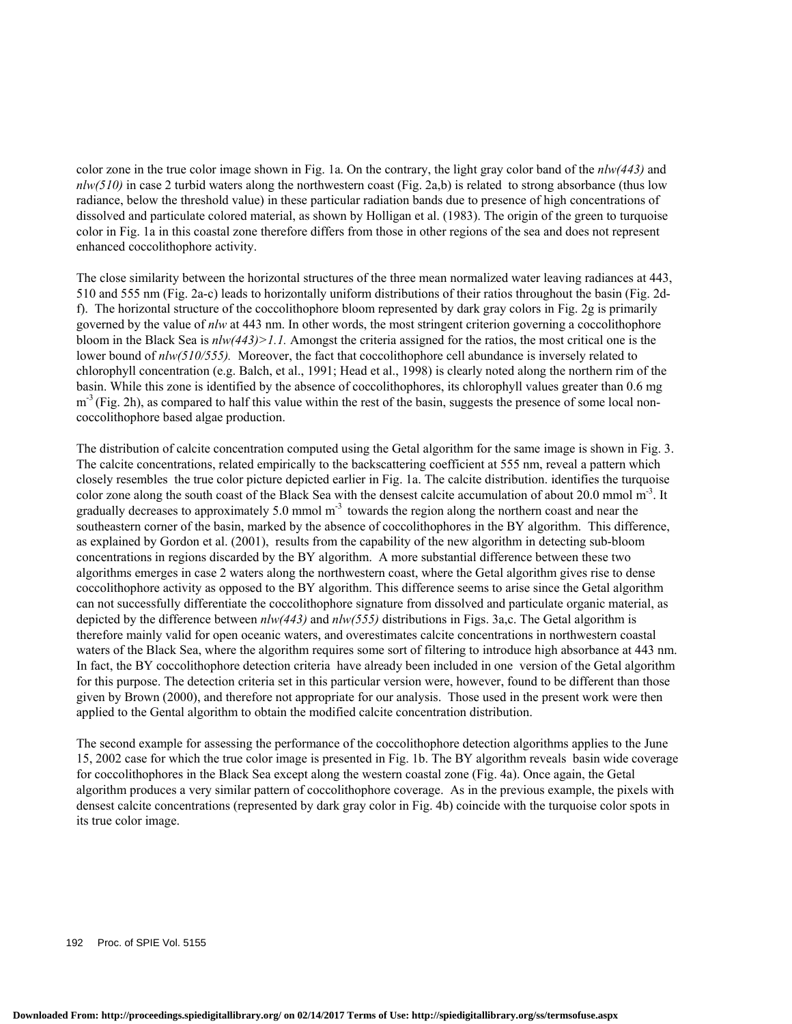color zone in the true color image shown in Fig. 1a. On the contrary, the light gray color band of the *nlw(443)* and  $n \cdot h \cdot (510)$  in case 2 turbid waters along the northwestern coast (Fig. 2a,b) is related to strong absorbance (thus low radiance, below the threshold value) in these particular radiation bands due to presence of high concentrations of dissolved and particulate colored material, as shown by Holligan et al. (1983). The origin of the green to turquoise color in Fig. 1a in this coastal zone therefore differs from those in other regions of the sea and does not represent enhanced coccolithophore activity.

The close similarity between the horizontal structures of the three mean normalized water leaving radiances at 443, 510 and 555 nm (Fig. 2a-c) leads to horizontally uniform distributions of their ratios throughout the basin (Fig. 2df). The horizontal structure of the coccolithophore bloom represented by dark gray colors in Fig. 2g is primarily governed by the value of *nlw* at 443 nm. In other words, the most stringent criterion governing a coccolithophore bloom in the Black Sea is *nlw(443)>1.1.* Amongst the criteria assigned for the ratios, the most critical one is the lower bound of  $n \frac{ln(510/555)}{$ . Moreover, the fact that coccolithophore cell abundance is inversely related to chlorophyll concentration (e.g. Balch, et al., 1991; Head et al., 1998) is clearly noted along the northern rim of the basin. While this zone is identified by the absence of coccolithophores, its chlorophyll values greater than 0.6 mg  $m<sup>3</sup>$  (Fig. 2h), as compared to half this value within the rest of the basin, suggests the presence of some local noncoccolithophore based algae production.

The distribution of calcite concentration computed using the Getal algorithm for the same image is shown in Fig. 3. The calcite concentrations, related empirically to the backscattering coefficient at 555 nm, reveal a pattern which closely resembles the true color picture depicted earlier in Fig. 1a. The calcite distribution. identifies the turquoise color zone along the south coast of the Black Sea with the densest calcite accumulation of about 20.0 mmol  $m<sup>-3</sup>$ . It gradually decreases to approximately 5.0 mmol  $m<sup>-3</sup>$  towards the region along the northern coast and near the southeastern corner of the basin, marked by the absence of coccolithophores in the BY algorithm. This difference, as explained by Gordon et al. (2001), results from the capability of the new algorithm in detecting sub-bloom concentrations in regions discarded by the BY algorithm. A more substantial difference between these two algorithms emerges in case 2 waters along the northwestern coast, where the Getal algorithm gives rise to dense coccolithophore activity as opposed to the BY algorithm. This difference seems to arise since the Getal algorithm can not successfully differentiate the coccolithophore signature from dissolved and particulate organic material, as depicted by the difference between *nlw(443)* and *nlw(555)* distributions in Figs. 3a,c. The Getal algorithm is therefore mainly valid for open oceanic waters, and overestimates calcite concentrations in northwestern coastal waters of the Black Sea, where the algorithm requires some sort of filtering to introduce high absorbance at 443 nm. In fact, the BY coccolithophore detection criteria have already been included in one version of the Getal algorithm for this purpose. The detection criteria set in this particular version were, however, found to be different than those given by Brown (2000), and therefore not appropriate for our analysis. Those used in the present work were then applied to the Gental algorithm to obtain the modified calcite concentration distribution.

The second example for assessing the performance of the coccolithophore detection algorithms applies to the June 15, 2002 case for which the true color image is presented in Fig. 1b. The BY algorithm reveals basin wide coverage for coccolithophores in the Black Sea except along the western coastal zone (Fig. 4a). Once again, the Getal algorithm produces a very similar pattern of coccolithophore coverage. As in the previous example, the pixels with densest calcite concentrations (represented by dark gray color in Fig. 4b) coincide with the turquoise color spots in its true color image.

192 Proc. of SPIE Vol. 5155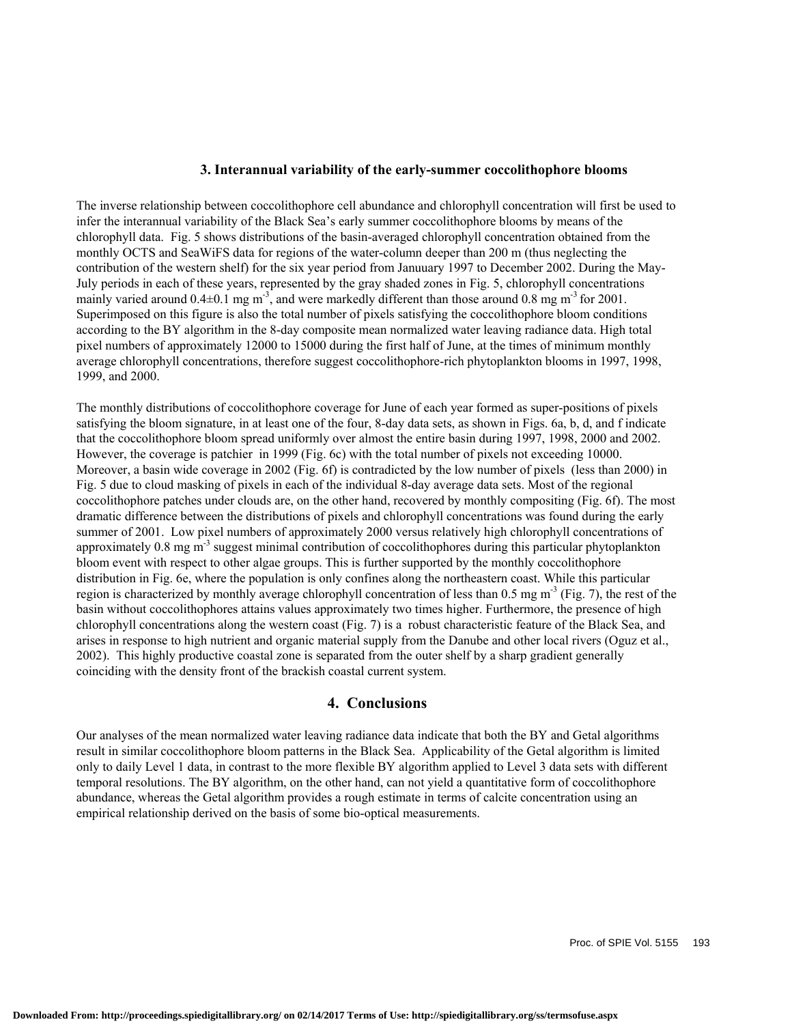### **3. Interannual variability of the early-summer coccolithophore blooms**

The inverse relationship between coccolithophore cell abundance and chlorophyll concentration will first be used to infer the interannual variability of the Black Sea's early summer coccolithophore blooms by means of the chlorophyll data. Fig. 5 shows distributions of the basin-averaged chlorophyll concentration obtained from the monthly OCTS and SeaWiFS data for regions of the water-column deeper than 200 m (thus neglecting the contribution of the western shelf) for the six year period from Januuary 1997 to December 2002. During the May-July periods in each of these years, represented by the gray shaded zones in Fig. 5, chlorophyll concentrations mainly varied around  $0.4\pm0.1$  mg m<sup>-3</sup>, and were markedly different than those around 0.8 mg m<sup>-3</sup> for 2001. Superimposed on this figure is also the total number of pixels satisfying the coccolithophore bloom conditions according to the BY algorithm in the 8-day composite mean normalized water leaving radiance data. High total pixel numbers of approximately 12000 to 15000 during the first half of June, at the times of minimum monthly average chlorophyll concentrations, therefore suggest coccolithophore-rich phytoplankton blooms in 1997, 1998, 1999, and 2000.

The monthly distributions of coccolithophore coverage for June of each year formed as super-positions of pixels satisfying the bloom signature, in at least one of the four, 8-day data sets, as shown in Figs. 6a, b, d, and f indicate that the coccolithophore bloom spread uniformly over almost the entire basin during 1997, 1998, 2000 and 2002. However, the coverage is patchier in 1999 (Fig. 6c) with the total number of pixels not exceeding 10000. Moreover, a basin wide coverage in 2002 (Fig. 6f) is contradicted by the low number of pixels (less than 2000) in Fig. 5 due to cloud masking of pixels in each of the individual 8-day average data sets. Most of the regional coccolithophore patches under clouds are, on the other hand, recovered by monthly compositing (Fig. 6f). The most dramatic difference between the distributions of pixels and chlorophyll concentrations was found during the early summer of 2001. Low pixel numbers of approximately 2000 versus relatively high chlorophyll concentrations of approximately 0.8 mg m<sup>-3</sup> suggest minimal contribution of coccolithophores during this particular phytoplankton bloom event with respect to other algae groups. This is further supported by the monthly coccolithophore distribution in Fig. 6e, where the population is only confines along the northeastern coast. While this particular region is characterized by monthly average chlorophyll concentration of less than 0.5 mg  $m<sup>3</sup>$  (Fig. 7), the rest of the basin without coccolithophores attains values approximately two times higher. Furthermore, the presence of high chlorophyll concentrations along the western coast (Fig. 7) is a robust characteristic feature of the Black Sea, and arises in response to high nutrient and organic material supply from the Danube and other local rivers (Oguz et al., 2002). This highly productive coastal zone is separated from the outer shelf by a sharp gradient generally coinciding with the density front of the brackish coastal current system.

## **4. Conclusions**

Our analyses of the mean normalized water leaving radiance data indicate that both the BY and Getal algorithms result in similar coccolithophore bloom patterns in the Black Sea. Applicability of the Getal algorithm is limited only to daily Level 1 data, in contrast to the more flexible BY algorithm applied to Level 3 data sets with different temporal resolutions. The BY algorithm, on the other hand, can not yield a quantitative form of coccolithophore abundance, whereas the Getal algorithm provides a rough estimate in terms of calcite concentration using an empirical relationship derived on the basis of some bio-optical measurements.

Proc. of SPIE Vol. 5155 193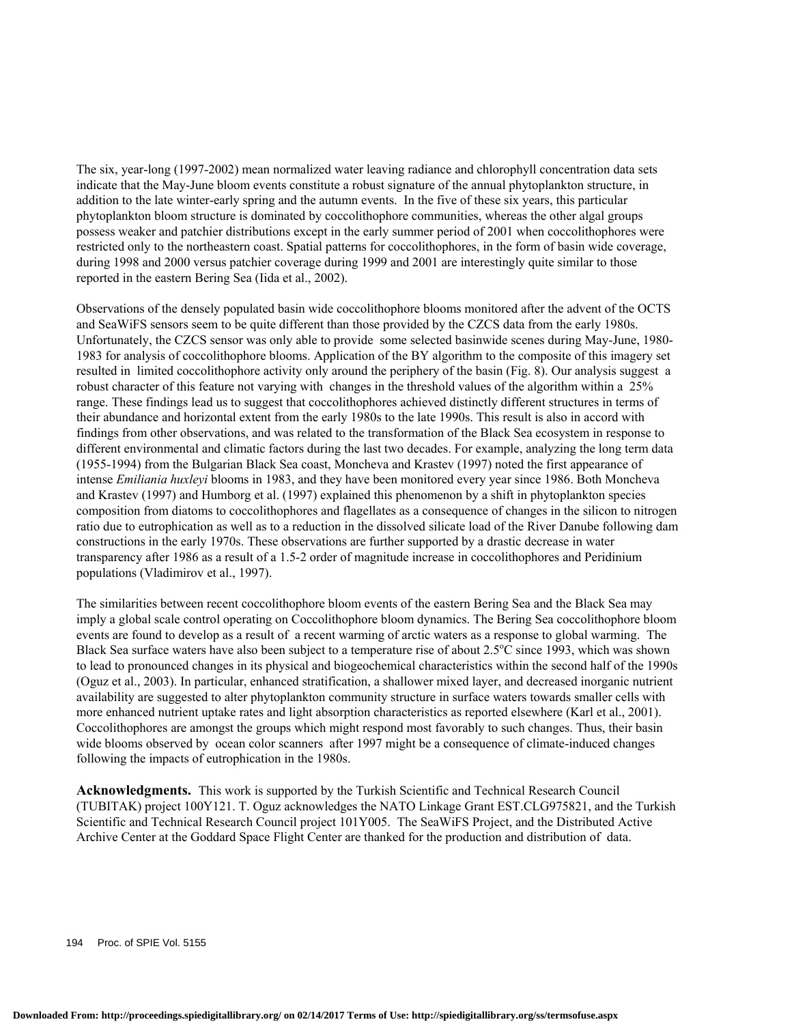The six, year-long (1997-2002) mean normalized water leaving radiance and chlorophyll concentration data sets indicate that the May-June bloom events constitute a robust signature of the annual phytoplankton structure, in addition to the late winter-early spring and the autumn events. In the five of these six years, this particular phytoplankton bloom structure is dominated by coccolithophore communities, whereas the other algal groups possess weaker and patchier distributions except in the early summer period of 2001 when coccolithophores were restricted only to the northeastern coast. Spatial patterns for coccolithophores, in the form of basin wide coverage, during 1998 and 2000 versus patchier coverage during 1999 and 2001 are interestingly quite similar to those reported in the eastern Bering Sea (Iida et al., 2002).

Observations of the densely populated basin wide coccolithophore blooms monitored after the advent of the OCTS and SeaWiFS sensors seem to be quite different than those provided by the CZCS data from the early 1980s. Unfortunately, the CZCS sensor was only able to provide some selected basinwide scenes during May-June, 1980- 1983 for analysis of coccolithophore blooms. Application of the BY algorithm to the composite of this imagery set resulted in limited coccolithophore activity only around the periphery of the basin (Fig. 8). Our analysis suggest a robust character of this feature not varying with changes in the threshold values of the algorithm within a 25% range. These findings lead us to suggest that coccolithophores achieved distinctly different structures in terms of their abundance and horizontal extent from the early 1980s to the late 1990s. This result is also in accord with findings from other observations, and was related to the transformation of the Black Sea ecosystem in response to different environmental and climatic factors during the last two decades. For example, analyzing the long term data (1955-1994) from the Bulgarian Black Sea coast, Moncheva and Krastev (1997) noted the first appearance of intense *Emiliania huxleyi* blooms in 1983, and they have been monitored every year since 1986. Both Moncheva and Krastev (1997) and Humborg et al. (1997) explained this phenomenon by a shift in phytoplankton species composition from diatoms to coccolithophores and flagellates as a consequence of changes in the silicon to nitrogen ratio due to eutrophication as well as to a reduction in the dissolved silicate load of the River Danube following dam constructions in the early 1970s. These observations are further supported by a drastic decrease in water transparency after 1986 as a result of a 1.5-2 order of magnitude increase in coccolithophores and Peridinium populations (Vladimirov et al., 1997).

The similarities between recent coccolithophore bloom events of the eastern Bering Sea and the Black Sea may imply a global scale control operating on Coccolithophore bloom dynamics. The Bering Sea coccolithophore bloom events are found to develop as a result of a recent warming of arctic waters as a response to global warming. The Black Sea surface waters have also been subject to a temperature rise of about 2.5°C since 1993, which was shown to lead to pronounced changes in its physical and biogeochemical characteristics within the second half of the 1990s (Oguz et al., 2003). In particular, enhanced stratification, a shallower mixed layer, and decreased inorganic nutrient availability are suggested to alter phytoplankton community structure in surface waters towards smaller cells with more enhanced nutrient uptake rates and light absorption characteristics as reported elsewhere (Karl et al., 2001). Coccolithophores are amongst the groups which might respond most favorably to such changes. Thus, their basin wide blooms observed by ocean color scanners after 1997 might be a consequence of climate-induced changes following the impacts of eutrophication in the 1980s.

**Acknowledgments.** This work is supported by the Turkish Scientific and Technical Research Council (TUBITAK) project 100Y121. T. Oguz acknowledges the NATO Linkage Grant EST.CLG975821, and the Turkish Scientific and Technical Research Council project 101Y005. The SeaWiFS Project, and the Distributed Active Archive Center at the Goddard Space Flight Center are thanked for the production and distribution of data.

194 Proc. of SPIE Vol. 5155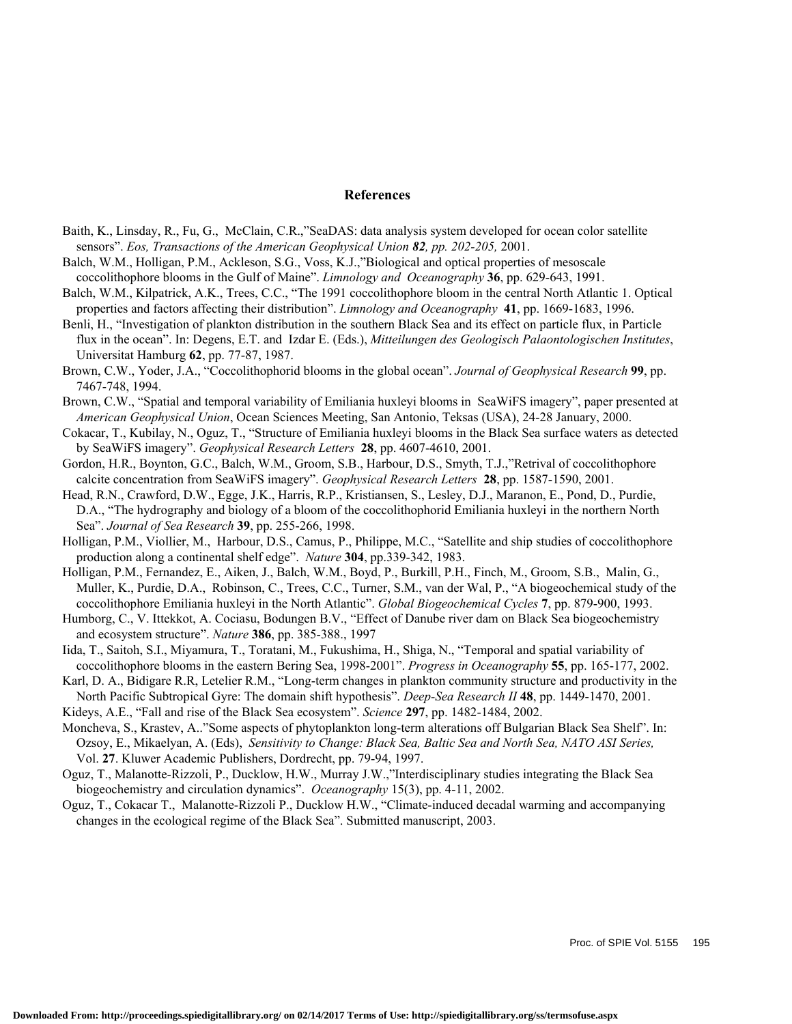#### **References**

- Baith, K., Linsday, R., Fu, G., McClain, C.R.,"SeaDAS: data analysis system developed for ocean color satellite sensors". *Eos, Transactions of the American Geophysical Union 82, pp. 202-205,* 2001.
- Balch, W.M., Holligan, P.M., Ackleson, S.G., Voss, K.J.,"Biological and optical properties of mesoscale coccolithophore blooms in the Gulf of Maine". *Limnology and Oceanography* **36**, pp. 629-643, 1991.
- Balch, W.M., Kilpatrick, A.K., Trees, C.C., "The 1991 coccolithophore bloom in the central North Atlantic 1. Optical properties and factors affecting their distribution". *Limnology and Oceanography* **41**, pp. 1669-1683, 1996.
- Benli, H., "Investigation of plankton distribution in the southern Black Sea and its effect on particle flux, in Particle flux in the ocean". In: Degens, E.T. and Izdar E. (Eds.), *Mitteilungen des Geologisch Palaontologischen Institutes*, Universitat Hamburg **62**, pp. 77-87, 1987.
- Brown, C.W., Yoder, J.A., "Coccolithophorid blooms in the global ocean". *Journal of Geophysical Research* **99**, pp. 7467-748, 1994.
- Brown, C.W., "Spatial and temporal variability of Emiliania huxleyi blooms in SeaWiFS imagery", paper presented at *American Geophysical Union*, Ocean Sciences Meeting, San Antonio, Teksas (USA), 24-28 January, 2000.
- Cokacar, T., Kubilay, N., Oguz, T., "Structure of Emiliania huxleyi blooms in the Black Sea surface waters as detected by SeaWiFS imagery". *Geophysical Research Letters* **28**, pp. 4607-4610, 2001.
- Gordon, H.R., Boynton, G.C., Balch, W.M., Groom, S.B., Harbour, D.S., Smyth, T.J.,"Retrival of coccolithophore calcite concentration from SeaWiFS imagery". *Geophysical Research Letters* **28**, pp. 1587-1590, 2001.
- Head, R.N., Crawford, D.W., Egge, J.K., Harris, R.P., Kristiansen, S., Lesley, D.J., Maranon, E., Pond, D., Purdie, D.A., "The hydrography and biology of a bloom of the coccolithophorid Emiliania huxleyi in the northern North Sea". *Journal of Sea Research* **39**, pp. 255-266, 1998.
- Holligan, P.M., Viollier, M., Harbour, D.S., Camus, P., Philippe, M.C., "Satellite and ship studies of coccolithophore production along a continental shelf edge". *Nature* **304**, pp.339-342, 1983.
- Holligan, P.M., Fernandez, E., Aiken, J., Balch, W.M., Boyd, P., Burkill, P.H., Finch, M., Groom, S.B., Malin, G., Muller, K., Purdie, D.A., Robinson, C., Trees, C.C., Turner, S.M., van der Wal, P., "A biogeochemical study of the coccolithophore Emiliania huxleyi in the North Atlantic". *Global Biogeochemical Cycles* **7**, pp. 879-900, 1993.
- Humborg, C., V. Ittekkot, A. Cociasu, Bodungen B.V., "Effect of Danube river dam on Black Sea biogeochemistry and ecosystem structure". *Nature* **386**, pp. 385-388., 1997
- Iida, T., Saitoh, S.I., Miyamura, T., Toratani, M., Fukushima, H., Shiga, N., "Temporal and spatial variability of coccolithophore blooms in the eastern Bering Sea, 1998-2001". *Progress in Oceanography* **55**, pp. 165-177, 2002.
- Karl, D. A., Bidigare R.R, Letelier R.M., "Long-term changes in plankton community structure and productivity in the North Pacific Subtropical Gyre: The domain shift hypothesis". *Deep-Sea Research II* **48**, pp. 1449-1470, 2001.

Kideys, A.E., "Fall and rise of the Black Sea ecosystem". *Science* **297**, pp. 1482-1484, 2002.

- Moncheva, S., Krastev, A.."Some aspects of phytoplankton long-term alterations off Bulgarian Black Sea Shelf". In: Ozsoy, E., Mikaelyan, A. (Eds), *Sensitivity to Change: Black Sea, Baltic Sea and North Sea, NATO ASI Series,* Vol. **27**. Kluwer Academic Publishers, Dordrecht, pp. 79-94, 1997.
- Oguz, T., Malanotte-Rizzoli, P., Ducklow, H.W., Murray J.W.,"Interdisciplinary studies integrating the Black Sea biogeochemistry and circulation dynamics". *Oceanography* 15(3), pp. 4-11, 2002.
- Oguz, T., Cokacar T., Malanotte-Rizzoli P., Ducklow H.W., "Climate-induced decadal warming and accompanying changes in the ecological regime of the Black Sea". Submitted manuscript, 2003.

Proc. of SPIE Vol. 5155 195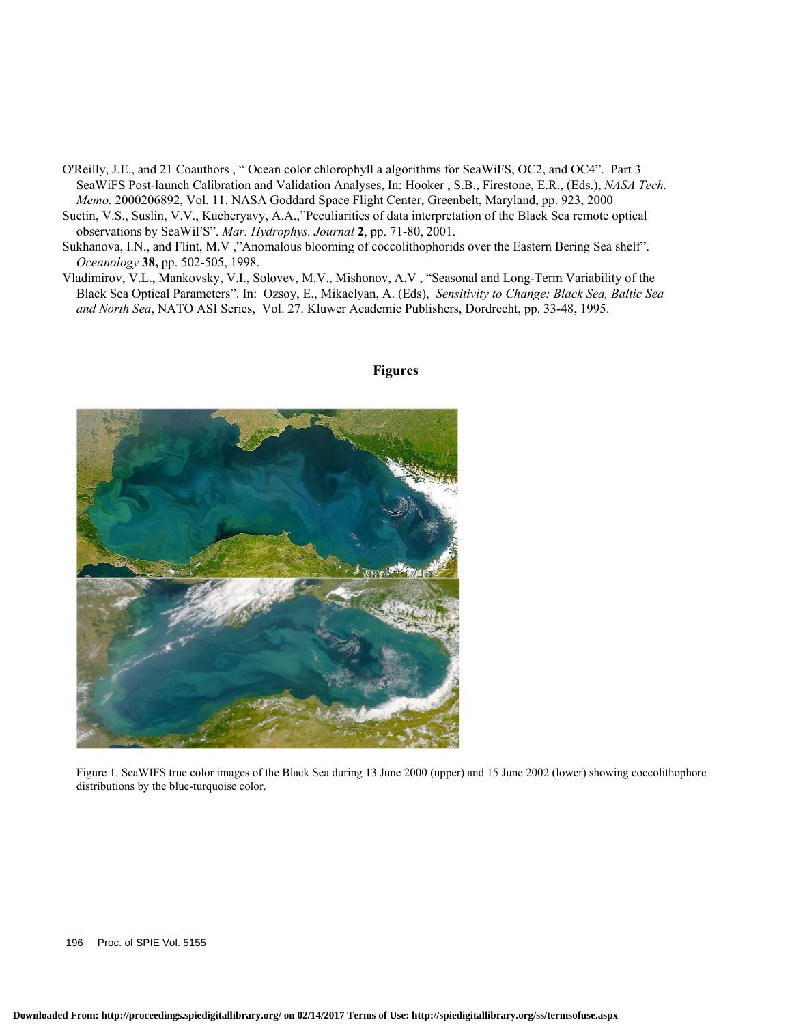- O'Reilly, J.E., and 21 Coauthors , " Ocean color chlorophyll a algorithms for SeaWiFS, OC2, and OC4". Part 3 SeaWiFS Post-launch Calibration and Validation Analyses, In: Hooker , S.B., Firestone, E.R., (Eds.), *NASA Tech. Memo.* 2000206892, Vol. 11. NASA Goddard Space Flight Center, Greenbelt, Maryland, pp. 923, 2000
- Suetin, V.S., Suslin, V.V., Kucheryavy, A.A.,"Peculiarities of data interpretation of the Black Sea remote optical observations by SeaWiFS". *Mar. Hydrophys. Journal* **2**, pp. 71-80, 2001.
- Sukhanova, I.N., and Flint, M.V ,"Anomalous blooming of coccolithophorids over the Eastern Bering Sea shelf". *Oceanology* **38,** pp. 502-505, 1998.
- Vladimirov, V.L., Mankovsky, V.I., Solovev, M.V., Mishonov, A.V , "Seasonal and Long-Term Variability of the Black Sea Optical Parameters". In: Ozsoy, E., Mikaelyan, A. (Eds), *Sensitivity to Change: Black Sea, Baltic Sea and North Sea*, NATO ASI Series, Vol. 27. Kluwer Academic Publishers, Dordrecht, pp. 33-48, 1995.



#### **Figures**

Figure 1. SeaWIFS true color images of the Black Sea during 13 June 2000 (upper) and 15 June 2002 (lower) showing coccolithophore distributions by the blue-turquoise color.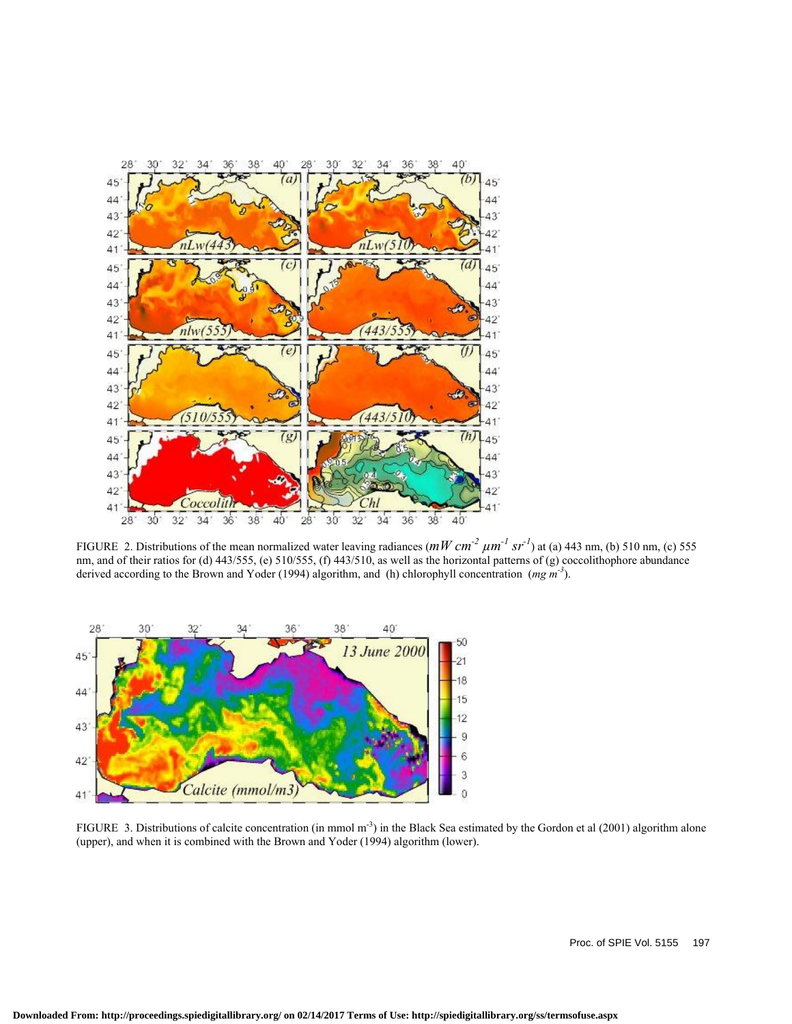

FIGURE 2. Distributions of the mean normalized water leaving radiances  $(mW cm<sup>-2</sup> \mu m<sup>-1</sup> sr<sup>-1</sup>)$  at (a) 443 nm, (b) 510 nm, (c) 555 nm, and of their ratios for (d) 443/555, (e) 510/555, (f) 443/510, as well as the horizontal patterns of (g) coccolithophore abundance derived according to the Brown and Yoder (1994) algorithm, and (h) chlorophyll concentration (*mg m-3*).



FIGURE 3. Distributions of calcite concentration (in mmol  $m^{-3}$ ) in the Black Sea estimated by the Gordon et al (2001) algorithm alone (upper), and when it is combined with the Brown and Yoder (1994) algorithm (lower).

Proc. of SPIE Vol. 5155 197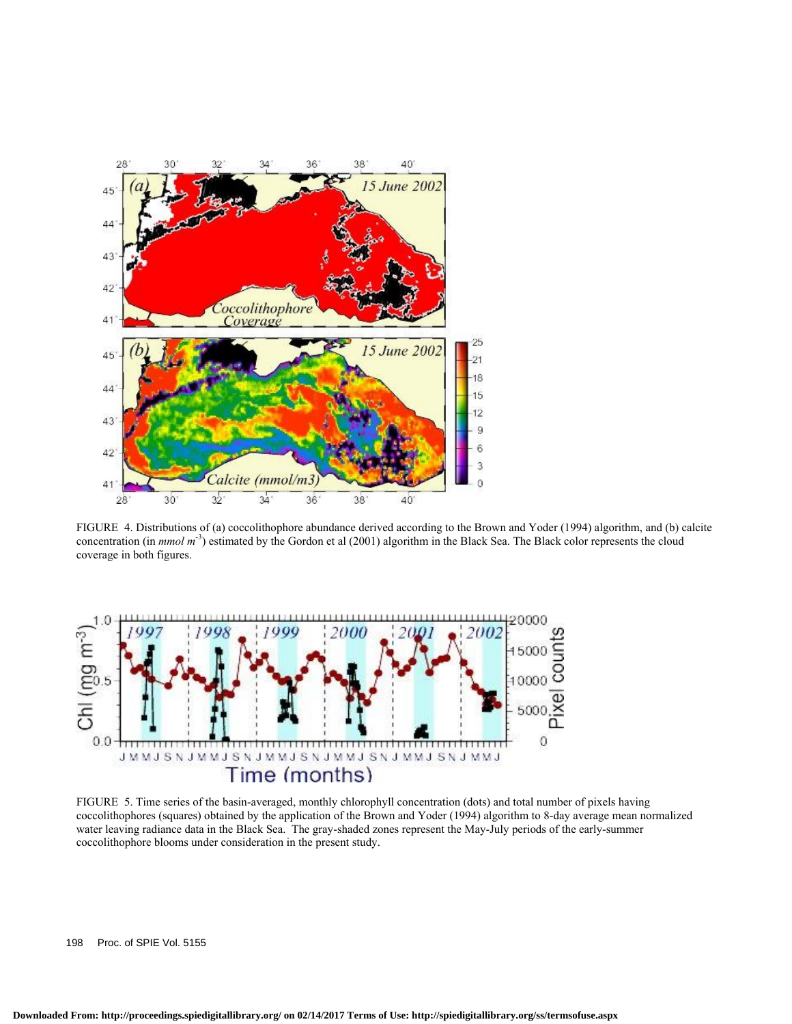

FIGURE 4. Distributions of (a) coccolithophore abundance derived according to the Brown and Yoder (1994) algorithm, and (b) calcite concentration (in *mmol m-*<sup>3</sup> ) estimated by the Gordon et al (2001) algorithm in the Black Sea. The Black color represents the cloud coverage in both figures.



FIGURE 5. Time series of the basin-averaged, monthly chlorophyll concentration (dots) and total number of pixels having coccolithophores (squares) obtained by the application of the Brown and Yoder (1994) algorithm to 8-day average mean normalized water leaving radiance data in the Black Sea. The gray-shaded zones represent the May-July periods of the early-summer coccolithophore blooms under consideration in the present study.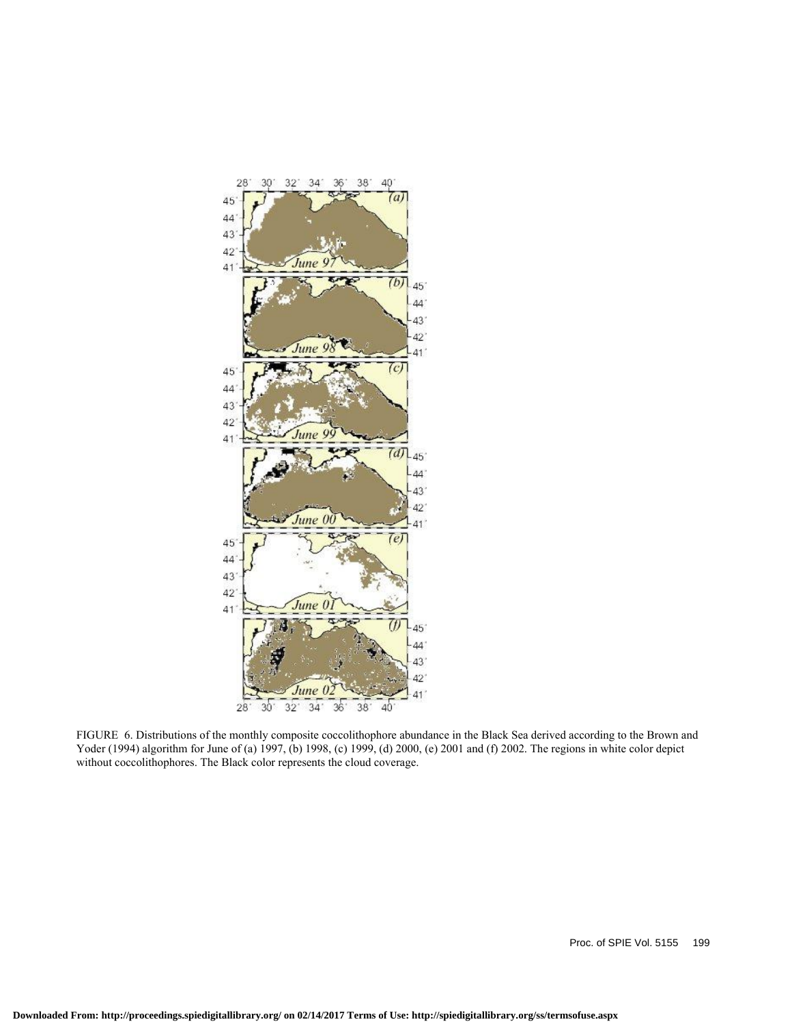

FIGURE 6. Distributions of the monthly composite coccolithophore abundance in the Black Sea derived according to the Brown and Yoder (1994) algorithm for June of (a) 1997, (b) 1998, (c) 1999, (d) 2000, (e) 2001 and (f) 2002. The regions in white color depict without coccolithophores. The Black color represents the cloud coverage.